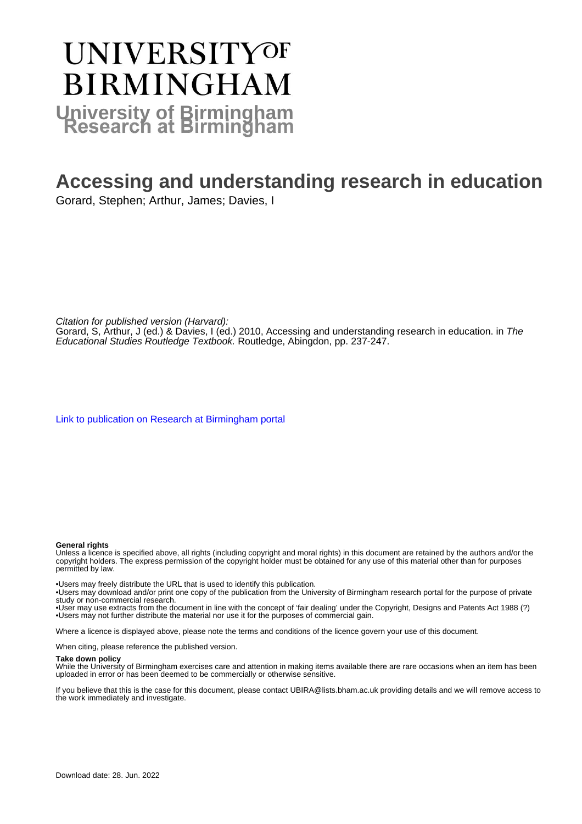# **UNIVERSITYOF BIRMINGHAM University of Birmingham**

# **Accessing and understanding research in education**

Gorard, Stephen; Arthur, James; Davies, I

Citation for published version (Harvard):

Gorard, S, Arthur, J (ed.) & Davies, I (ed.) 2010, Accessing and understanding research in education. in The Educational Studies Routledge Textbook. Routledge, Abingdon, pp. 237-247.

[Link to publication on Research at Birmingham portal](https://birmingham.elsevierpure.com/en/publications/94dec11b-3671-427d-aaa2-078c97cb2424)

#### **General rights**

Unless a licence is specified above, all rights (including copyright and moral rights) in this document are retained by the authors and/or the copyright holders. The express permission of the copyright holder must be obtained for any use of this material other than for purposes permitted by law.

• Users may freely distribute the URL that is used to identify this publication.

• Users may download and/or print one copy of the publication from the University of Birmingham research portal for the purpose of private study or non-commercial research.

• User may use extracts from the document in line with the concept of 'fair dealing' under the Copyright, Designs and Patents Act 1988 (?) • Users may not further distribute the material nor use it for the purposes of commercial gain.

Where a licence is displayed above, please note the terms and conditions of the licence govern your use of this document.

When citing, please reference the published version.

#### **Take down policy**

While the University of Birmingham exercises care and attention in making items available there are rare occasions when an item has been uploaded in error or has been deemed to be commercially or otherwise sensitive.

If you believe that this is the case for this document, please contact UBIRA@lists.bham.ac.uk providing details and we will remove access to the work immediately and investigate.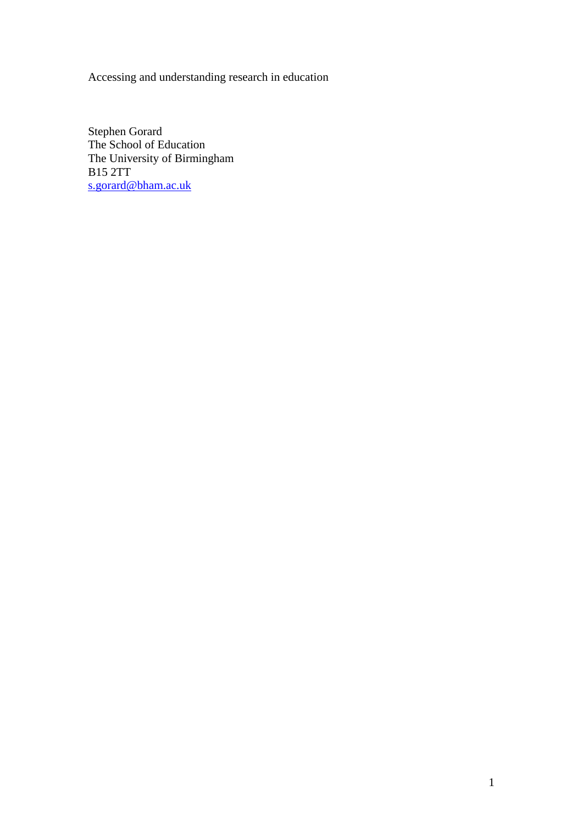Accessing and understanding research in education

Stephen Gorard The School of Education The University of Birmingham B15 2TT [s.gorard@bham.ac.uk](mailto:s.gorard@bham.ac.uk)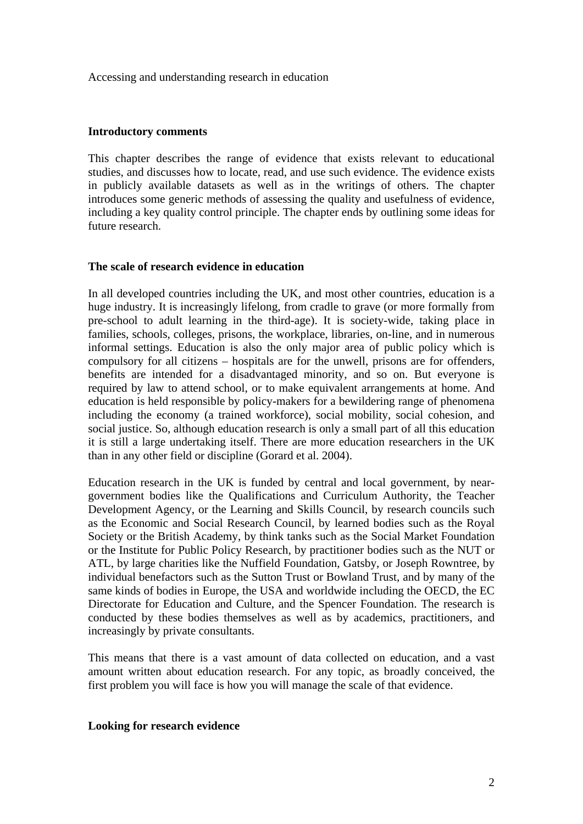Accessing and understanding research in education

### **Introductory comments**

This chapter describes the range of evidence that exists relevant to educational studies, and discusses how to locate, read, and use such evidence. The evidence exists in publicly available datasets as well as in the writings of others. The chapter introduces some generic methods of assessing the quality and usefulness of evidence, including a key quality control principle. The chapter ends by outlining some ideas for future research.

#### **The scale of research evidence in education**

In all developed countries including the UK, and most other countries, education is a huge industry. It is increasingly lifelong, from cradle to grave (or more formally from pre-school to adult learning in the third-age). It is society-wide, taking place in families, schools, colleges, prisons, the workplace, libraries, on-line, and in numerous informal settings. Education is also the only major area of public policy which is compulsory for all citizens – hospitals are for the unwell, prisons are for offenders, benefits are intended for a disadvantaged minority, and so on. But everyone is required by law to attend school, or to make equivalent arrangements at home. And education is held responsible by policy-makers for a bewildering range of phenomena including the economy (a trained workforce), social mobility, social cohesion, and social justice. So, although education research is only a small part of all this education it is still a large undertaking itself. There are more education researchers in the UK than in any other field or discipline (Gorard et al. 2004).

Education research in the UK is funded by central and local government, by neargovernment bodies like the Qualifications and Curriculum Authority, the Teacher Development Agency, or the Learning and Skills Council, by research councils such as the Economic and Social Research Council, by learned bodies such as the Royal Society or the British Academy, by think tanks such as the Social Market Foundation or the Institute for Public Policy Research, by practitioner bodies such as the NUT or ATL, by large charities like the Nuffield Foundation, Gatsby, or Joseph Rowntree, by individual benefactors such as the Sutton Trust or Bowland Trust, and by many of the same kinds of bodies in Europe, the USA and worldwide including the OECD, the EC Directorate for Education and Culture, and the Spencer Foundation. The research is conducted by these bodies themselves as well as by academics, practitioners, and increasingly by private consultants.

This means that there is a vast amount of data collected on education, and a vast amount written about education research. For any topic, as broadly conceived, the first problem you will face is how you will manage the scale of that evidence.

### **Looking for research evidence**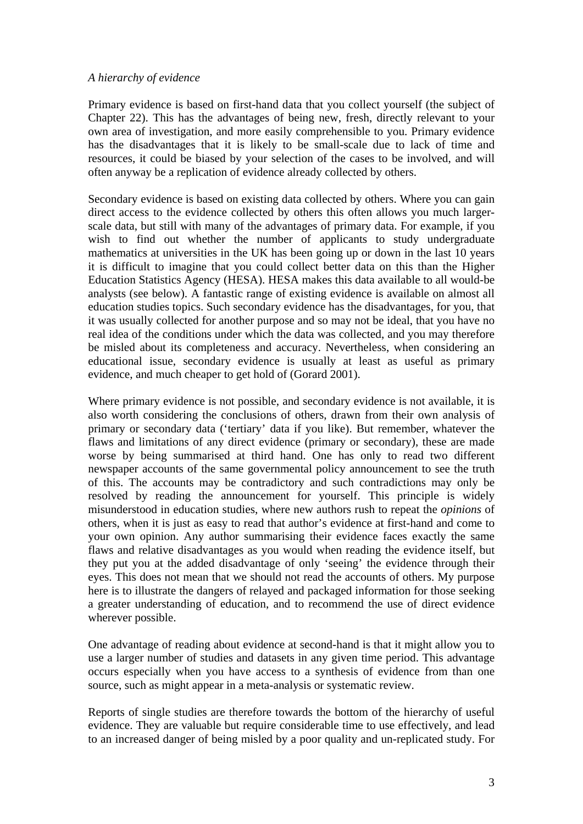### *A hierarchy of evidence*

Primary evidence is based on first-hand data that you collect yourself (the subject of Chapter 22). This has the advantages of being new, fresh, directly relevant to your own area of investigation, and more easily comprehensible to you. Primary evidence has the disadvantages that it is likely to be small-scale due to lack of time and resources, it could be biased by your selection of the cases to be involved, and will often anyway be a replication of evidence already collected by others.

Secondary evidence is based on existing data collected by others. Where you can gain direct access to the evidence collected by others this often allows you much largerscale data, but still with many of the advantages of primary data. For example, if you wish to find out whether the number of applicants to study undergraduate mathematics at universities in the UK has been going up or down in the last 10 years it is difficult to imagine that you could collect better data on this than the Higher Education Statistics Agency (HESA). HESA makes this data available to all would-be analysts (see below). A fantastic range of existing evidence is available on almost all education studies topics. Such secondary evidence has the disadvantages, for you, that it was usually collected for another purpose and so may not be ideal, that you have no real idea of the conditions under which the data was collected, and you may therefore be misled about its completeness and accuracy. Nevertheless, when considering an educational issue, secondary evidence is usually at least as useful as primary evidence, and much cheaper to get hold of (Gorard 2001).

Where primary evidence is not possible, and secondary evidence is not available, it is also worth considering the conclusions of others, drawn from their own analysis of primary or secondary data ('tertiary' data if you like). But remember, whatever the flaws and limitations of any direct evidence (primary or secondary), these are made worse by being summarised at third hand. One has only to read two different newspaper accounts of the same governmental policy announcement to see the truth of this. The accounts may be contradictory and such contradictions may only be resolved by reading the announcement for yourself. This principle is widely misunderstood in education studies, where new authors rush to repeat the *opinions* of others, when it is just as easy to read that author's evidence at first-hand and come to your own opinion. Any author summarising their evidence faces exactly the same flaws and relative disadvantages as you would when reading the evidence itself, but they put you at the added disadvantage of only 'seeing' the evidence through their eyes. This does not mean that we should not read the accounts of others. My purpose here is to illustrate the dangers of relayed and packaged information for those seeking a greater understanding of education, and to recommend the use of direct evidence wherever possible.

One advantage of reading about evidence at second-hand is that it might allow you to use a larger number of studies and datasets in any given time period. This advantage occurs especially when you have access to a synthesis of evidence from than one source, such as might appear in a meta-analysis or systematic review.

Reports of single studies are therefore towards the bottom of the hierarchy of useful evidence. They are valuable but require considerable time to use effectively, and lead to an increased danger of being misled by a poor quality and un-replicated study. For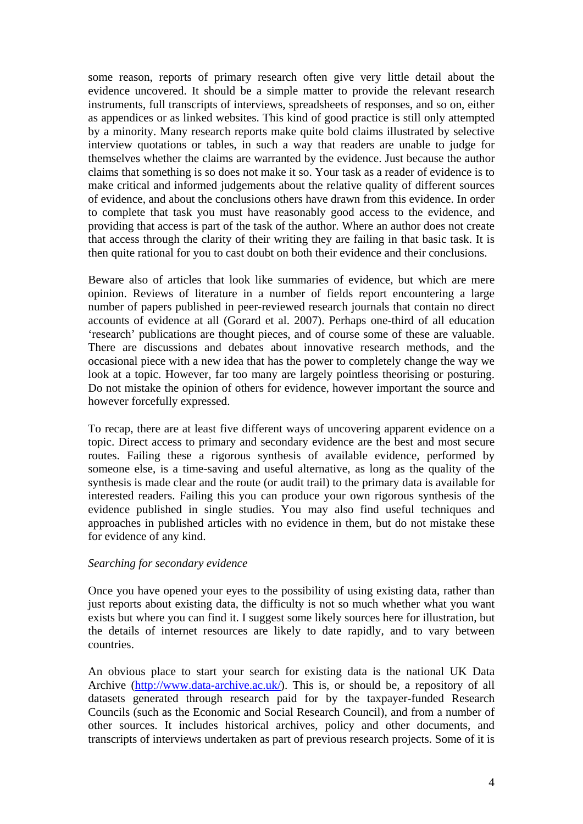some reason, reports of primary research often give very little detail about the evidence uncovered. It should be a simple matter to provide the relevant research instruments, full transcripts of interviews, spreadsheets of responses, and so on, either as appendices or as linked websites. This kind of good practice is still only attempted by a minority. Many research reports make quite bold claims illustrated by selective interview quotations or tables, in such a way that readers are unable to judge for themselves whether the claims are warranted by the evidence. Just because the author claims that something is so does not make it so. Your task as a reader of evidence is to make critical and informed judgements about the relative quality of different sources of evidence, and about the conclusions others have drawn from this evidence. In order to complete that task you must have reasonably good access to the evidence, and providing that access is part of the task of the author. Where an author does not create that access through the clarity of their writing they are failing in that basic task. It is then quite rational for you to cast doubt on both their evidence and their conclusions.

Beware also of articles that look like summaries of evidence, but which are mere opinion. Reviews of literature in a number of fields report encountering a large number of papers published in peer-reviewed research journals that contain no direct accounts of evidence at all (Gorard et al. 2007). Perhaps one-third of all education 'research' publications are thought pieces, and of course some of these are valuable. There are discussions and debates about innovative research methods, and the occasional piece with a new idea that has the power to completely change the way we look at a topic. However, far too many are largely pointless theorising or posturing. Do not mistake the opinion of others for evidence, however important the source and however forcefully expressed.

To recap, there are at least five different ways of uncovering apparent evidence on a topic. Direct access to primary and secondary evidence are the best and most secure routes. Failing these a rigorous synthesis of available evidence, performed by someone else, is a time-saving and useful alternative, as long as the quality of the synthesis is made clear and the route (or audit trail) to the primary data is available for interested readers. Failing this you can produce your own rigorous synthesis of the evidence published in single studies. You may also find useful techniques and approaches in published articles with no evidence in them, but do not mistake these for evidence of any kind.

### *Searching for secondary evidence*

Once you have opened your eyes to the possibility of using existing data, rather than just reports about existing data, the difficulty is not so much whether what you want exists but where you can find it. I suggest some likely sources here for illustration, but the details of internet resources are likely to date rapidly, and to vary between countries.

An obvious place to start your search for existing data is the national UK Data Archive ([http://www.data-archive.ac.uk/\)](http://www.data-archive.ac.uk/). This is, or should be, a repository of all datasets generated through research paid for by the taxpayer-funded Research Councils (such as the Economic and Social Research Council), and from a number of other sources. It includes historical archives, policy and other documents, and transcripts of interviews undertaken as part of previous research projects. Some of it is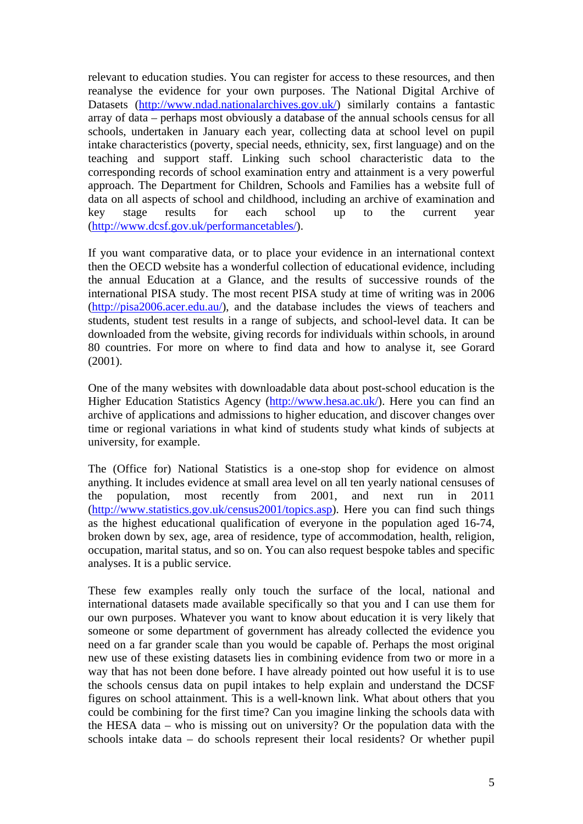relevant to education studies. You can register for access to these resources, and then reanalyse the evidence for your own purposes. The National Digital Archive of Datasets ([http://www.ndad.nationalarchives.gov.uk/\)](http://www.ndad.nationalarchives.gov.uk/) similarly contains a fantastic array of data – perhaps most obviously a database of the annual schools census for all schools, undertaken in January each year, collecting data at school level on pupil intake characteristics (poverty, special needs, ethnicity, sex, first language) and on the teaching and support staff. Linking such school characteristic data to the corresponding records of school examination entry and attainment is a very powerful approach. The Department for Children, Schools and Families has a website full of data on all aspects of school and childhood, including an archive of examination and key stage results for each school up to the current year ([http://www.dcsf.gov.uk/performancetables/\)](http://www.dcsf.gov.uk/performancetables/).

If you want comparative data, or to place your evidence in an international context then the OECD website has a wonderful collection of educational evidence, including the annual Education at a Glance, and the results of successive rounds of the international PISA study. The most recent PISA study at time of writing was in 2006 ([http://pisa2006.acer.edu.au/\)](http://pisa2006.acer.edu.au/), and the database includes the views of teachers and students, student test results in a range of subjects, and school-level data. It can be downloaded from the website, giving records for individuals within schools, in around 80 countries. For more on where to find data and how to analyse it, see Gorard  $(2001)$ .

One of the many websites with downloadable data about post-school education is the Higher Education Statistics Agency [\(http://www.hesa.ac.uk/](http://www.hesa.ac.uk/)). Here you can find an archive of applications and admissions to higher education, and discover changes over time or regional variations in what kind of students study what kinds of subjects at university, for example.

The (Office for) National Statistics is a one-stop shop for evidence on almost anything. It includes evidence at small area level on all ten yearly national censuses of the population, most recently from 2001, and next run in 2011 (<http://www.statistics.gov.uk/census2001/topics.asp>). Here you can find such things as the highest educational qualification of everyone in the population aged 16-74, broken down by sex, age, area of residence, type of accommodation, health, religion, occupation, marital status, and so on. You can also request bespoke tables and specific analyses. It is a public service.

These few examples really only touch the surface of the local, national and international datasets made available specifically so that you and I can use them for our own purposes. Whatever you want to know about education it is very likely that someone or some department of government has already collected the evidence you need on a far grander scale than you would be capable of. Perhaps the most original new use of these existing datasets lies in combining evidence from two or more in a way that has not been done before. I have already pointed out how useful it is to use the schools census data on pupil intakes to help explain and understand the DCSF figures on school attainment. This is a well-known link. What about others that you could be combining for the first time? Can you imagine linking the schools data with the HESA data – who is missing out on university? Or the population data with the schools intake data – do schools represent their local residents? Or whether pupil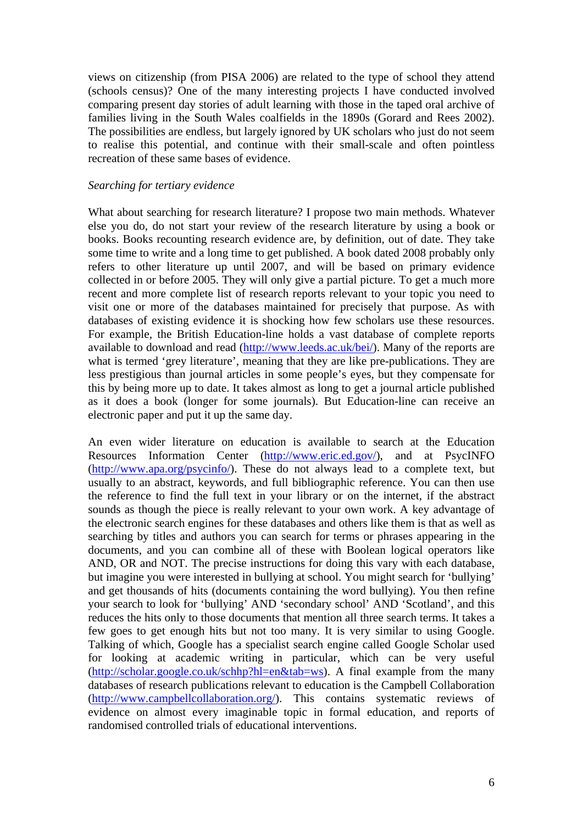views on citizenship (from PISA 2006) are related to the type of school they attend (schools census)? One of the many interesting projects I have conducted involved comparing present day stories of adult learning with those in the taped oral archive of families living in the South Wales coalfields in the 1890s (Gorard and Rees 2002). The possibilities are endless, but largely ignored by UK scholars who just do not seem to realise this potential, and continue with their small-scale and often pointless recreation of these same bases of evidence.

#### *Searching for tertiary evidence*

What about searching for research literature? I propose two main methods. Whatever else you do, do not start your review of the research literature by using a book or books. Books recounting research evidence are, by definition, out of date. They take some time to write and a long time to get published. A book dated 2008 probably only refers to other literature up until 2007, and will be based on primary evidence collected in or before 2005. They will only give a partial picture. To get a much more recent and more complete list of research reports relevant to your topic you need to visit one or more of the databases maintained for precisely that purpose. As with databases of existing evidence it is shocking how few scholars use these resources. For example, the British Education-line holds a vast database of complete reports available to download and read ([http://www.leeds.ac.uk/bei/\)](http://www.leeds.ac.uk/bei/). Many of the reports are what is termed 'grey literature', meaning that they are like pre-publications. They are less prestigious than journal articles in some people's eyes, but they compensate for this by being more up to date. It takes almost as long to get a journal article published as it does a book (longer for some journals). But Education-line can receive an electronic paper and put it up the same day.

An even wider literature on education is available to search at the Education Resources Information Center [\(http://www.eric.ed.gov/](http://www.eric.ed.gov/)), and at PsycINFO (<http://www.apa.org/psycinfo/>). These do not always lead to a complete text, but usually to an abstract, keywords, and full bibliographic reference. You can then use the reference to find the full text in your library or on the internet, if the abstract sounds as though the piece is really relevant to your own work. A key advantage of the electronic search engines for these databases and others like them is that as well as searching by titles and authors you can search for terms or phrases appearing in the documents, and you can combine all of these with Boolean logical operators like AND, OR and NOT. The precise instructions for doing this vary with each database, but imagine you were interested in bullying at school. You might search for 'bullying' and get thousands of hits (documents containing the word bullying). You then refine your search to look for 'bullying' AND 'secondary school' AND 'Scotland', and this reduces the hits only to those documents that mention all three search terms. It takes a few goes to get enough hits but not too many. It is very similar to using Google. Talking of which, Google has a specialist search engine called Google Scholar used for looking at academic writing in particular, which can be very useful (<http://scholar.google.co.uk/schhp?hl=en&tab=ws>). A final example from the many databases of research publications relevant to education is the Campbell Collaboration (<http://www.campbellcollaboration.org/>). This contains systematic reviews of evidence on almost every imaginable topic in formal education, and reports of randomised controlled trials of educational interventions.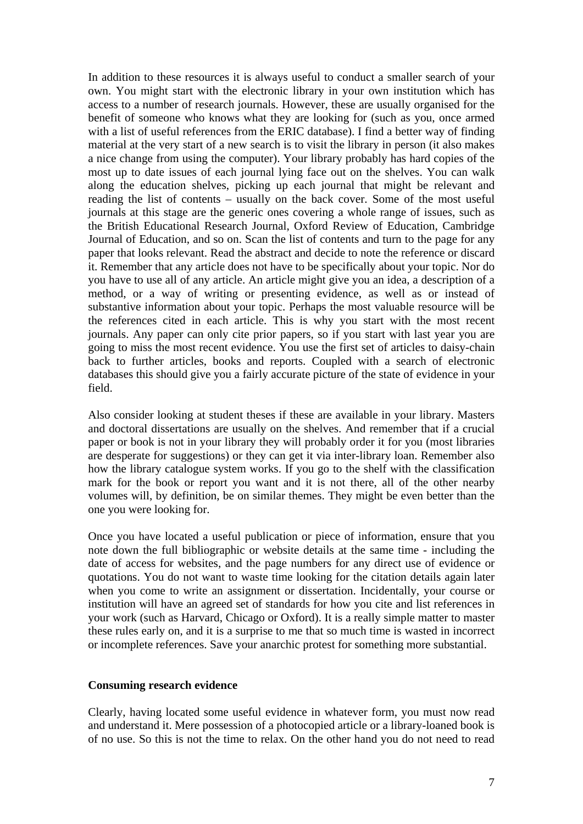In addition to these resources it is always useful to conduct a smaller search of your own. You might start with the electronic library in your own institution which has access to a number of research journals. However, these are usually organised for the benefit of someone who knows what they are looking for (such as you, once armed with a list of useful references from the ERIC database). I find a better way of finding material at the very start of a new search is to visit the library in person (it also makes a nice change from using the computer). Your library probably has hard copies of the most up to date issues of each journal lying face out on the shelves. You can walk along the education shelves, picking up each journal that might be relevant and reading the list of contents – usually on the back cover. Some of the most useful journals at this stage are the generic ones covering a whole range of issues, such as the British Educational Research Journal, Oxford Review of Education, Cambridge Journal of Education, and so on. Scan the list of contents and turn to the page for any paper that looks relevant. Read the abstract and decide to note the reference or discard it. Remember that any article does not have to be specifically about your topic. Nor do you have to use all of any article. An article might give you an idea, a description of a method, or a way of writing or presenting evidence, as well as or instead of substantive information about your topic. Perhaps the most valuable resource will be the references cited in each article. This is why you start with the most recent journals. Any paper can only cite prior papers, so if you start with last year you are going to miss the most recent evidence. You use the first set of articles to daisy-chain back to further articles, books and reports. Coupled with a search of electronic databases this should give you a fairly accurate picture of the state of evidence in your field.

Also consider looking at student theses if these are available in your library. Masters and doctoral dissertations are usually on the shelves. And remember that if a crucial paper or book is not in your library they will probably order it for you (most libraries are desperate for suggestions) or they can get it via inter-library loan. Remember also how the library catalogue system works. If you go to the shelf with the classification mark for the book or report you want and it is not there, all of the other nearby volumes will, by definition, be on similar themes. They might be even better than the one you were looking for.

Once you have located a useful publication or piece of information, ensure that you note down the full bibliographic or website details at the same time - including the date of access for websites, and the page numbers for any direct use of evidence or quotations. You do not want to waste time looking for the citation details again later when you come to write an assignment or dissertation. Incidentally, your course or institution will have an agreed set of standards for how you cite and list references in your work (such as Harvard, Chicago or Oxford). It is a really simple matter to master these rules early on, and it is a surprise to me that so much time is wasted in incorrect or incomplete references. Save your anarchic protest for something more substantial.

### **Consuming research evidence**

Clearly, having located some useful evidence in whatever form, you must now read and understand it. Mere possession of a photocopied article or a library-loaned book is of no use. So this is not the time to relax. On the other hand you do not need to read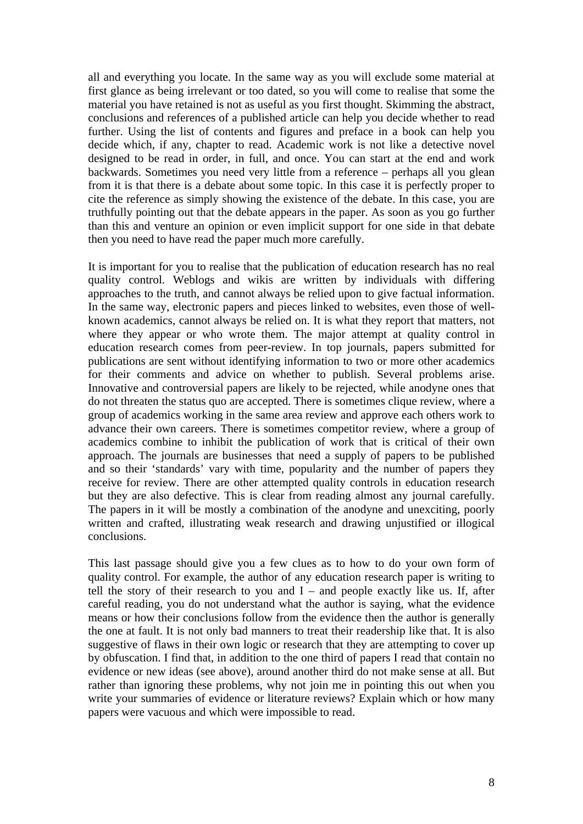all and everything you locate. In the same way as you will exclude some material at first glance as being irrelevant or too dated, so you will come to realise that some the material you have retained is not as useful as you first thought. Skimming the abstract, conclusions and references of a published article can help you decide whether to read further. Using the list of contents and figures and preface in a book can help you decide which, if any, chapter to read. Academic work is not like a detective novel designed to be read in order, in full, and once. You can start at the end and work backwards. Sometimes you need very little from a reference – perhaps all you glean from it is that there is a debate about some topic. In this case it is perfectly proper to cite the reference as simply showing the existence of the debate. In this case, you are truthfully pointing out that the debate appears in the paper. As soon as you go further than this and venture an opinion or even implicit support for one side in that debate then you need to have read the paper much more carefully.

It is important for you to realise that the publication of education research has no real quality control. Weblogs and wikis are written by individuals with differing approaches to the truth, and cannot always be relied upon to give factual information. In the same way, electronic papers and pieces linked to websites, even those of wellknown academics, cannot always be relied on. It is what they report that matters, not where they appear or who wrote them. The major attempt at quality control in education research comes from peer-review. In top journals, papers submitted for publications are sent without identifying information to two or more other academics for their comments and advice on whether to publish. Several problems arise. Innovative and controversial papers are likely to be rejected, while anodyne ones that do not threaten the status quo are accepted. There is sometimes clique review, where a group of academics working in the same area review and approve each others work to advance their own careers. There is sometimes competitor review, where a group of academics combine to inhibit the publication of work that is critical of their own approach. The journals are businesses that need a supply of papers to be published and so their 'standards' vary with time, popularity and the number of papers they receive for review. There are other attempted quality controls in education research but they are also defective. This is clear from reading almost any journal carefully. The papers in it will be mostly a combination of the anodyne and unexciting, poorly written and crafted, illustrating weak research and drawing unjustified or illogical conclusions.

This last passage should give you a few clues as to how to do your own form of quality control. For example, the author of any education research paper is writing to tell the story of their research to you and  $I$  – and people exactly like us. If, after careful reading, you do not understand what the author is saying, what the evidence means or how their conclusions follow from the evidence then the author is generally the one at fault. It is not only bad manners to treat their readership like that. It is also suggestive of flaws in their own logic or research that they are attempting to cover up by obfuscation. I find that, in addition to the one third of papers I read that contain no evidence or new ideas (see above), around another third do not make sense at all. But rather than ignoring these problems, why not join me in pointing this out when you write your summaries of evidence or literature reviews? Explain which or how many papers were vacuous and which were impossible to read.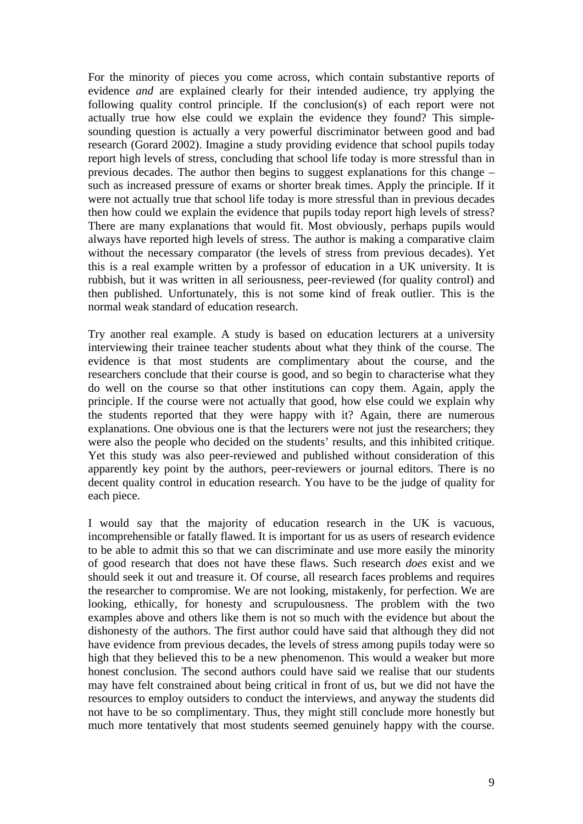For the minority of pieces you come across, which contain substantive reports of evidence *and* are explained clearly for their intended audience, try applying the following quality control principle. If the conclusion(s) of each report were not actually true how else could we explain the evidence they found? This simplesounding question is actually a very powerful discriminator between good and bad research (Gorard 2002). Imagine a study providing evidence that school pupils today report high levels of stress, concluding that school life today is more stressful than in previous decades. The author then begins to suggest explanations for this change – such as increased pressure of exams or shorter break times. Apply the principle. If it were not actually true that school life today is more stressful than in previous decades then how could we explain the evidence that pupils today report high levels of stress? There are many explanations that would fit. Most obviously, perhaps pupils would always have reported high levels of stress. The author is making a comparative claim without the necessary comparator (the levels of stress from previous decades). Yet this is a real example written by a professor of education in a UK university. It is rubbish, but it was written in all seriousness, peer-reviewed (for quality control) and then published. Unfortunately, this is not some kind of freak outlier. This is the normal weak standard of education research.

Try another real example. A study is based on education lecturers at a university interviewing their trainee teacher students about what they think of the course. The evidence is that most students are complimentary about the course, and the researchers conclude that their course is good, and so begin to characterise what they do well on the course so that other institutions can copy them. Again, apply the principle. If the course were not actually that good, how else could we explain why the students reported that they were happy with it? Again, there are numerous explanations. One obvious one is that the lecturers were not just the researchers; they were also the people who decided on the students' results, and this inhibited critique. Yet this study was also peer-reviewed and published without consideration of this apparently key point by the authors, peer-reviewers or journal editors. There is no decent quality control in education research. You have to be the judge of quality for each piece.

I would say that the majority of education research in the UK is vacuous, incomprehensible or fatally flawed. It is important for us as users of research evidence to be able to admit this so that we can discriminate and use more easily the minority of good research that does not have these flaws. Such research *does* exist and we should seek it out and treasure it. Of course, all research faces problems and requires the researcher to compromise. We are not looking, mistakenly, for perfection. We are looking, ethically, for honesty and scrupulousness. The problem with the two examples above and others like them is not so much with the evidence but about the dishonesty of the authors. The first author could have said that although they did not have evidence from previous decades, the levels of stress among pupils today were so high that they believed this to be a new phenomenon. This would a weaker but more honest conclusion. The second authors could have said we realise that our students may have felt constrained about being critical in front of us, but we did not have the resources to employ outsiders to conduct the interviews, and anyway the students did not have to be so complimentary. Thus, they might still conclude more honestly but much more tentatively that most students seemed genuinely happy with the course.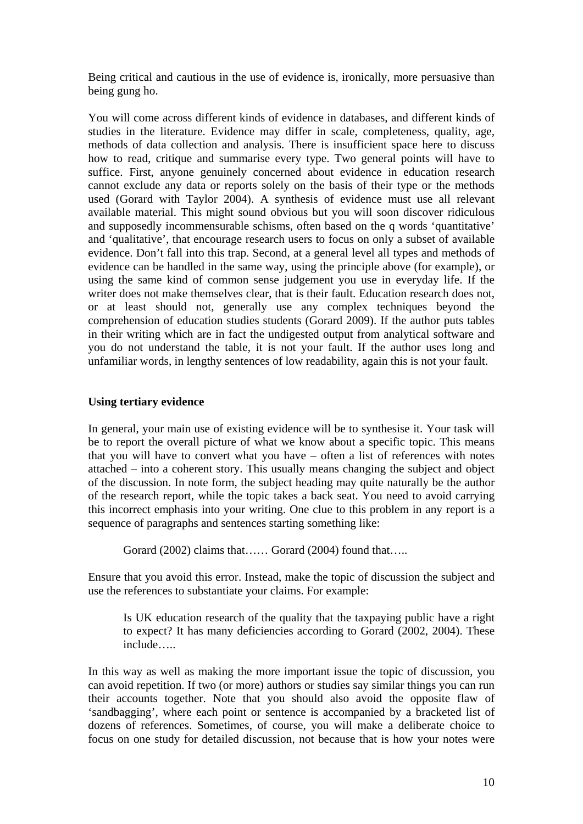Being critical and cautious in the use of evidence is, ironically, more persuasive than being gung ho.

You will come across different kinds of evidence in databases, and different kinds of studies in the literature. Evidence may differ in scale, completeness, quality, age, methods of data collection and analysis. There is insufficient space here to discuss how to read, critique and summarise every type. Two general points will have to suffice. First, anyone genuinely concerned about evidence in education research cannot exclude any data or reports solely on the basis of their type or the methods used (Gorard with Taylor 2004). A synthesis of evidence must use all relevant available material. This might sound obvious but you will soon discover ridiculous and supposedly incommensurable schisms, often based on the q words 'quantitative' and 'qualitative', that encourage research users to focus on only a subset of available evidence. Don't fall into this trap. Second, at a general level all types and methods of evidence can be handled in the same way, using the principle above (for example), or using the same kind of common sense judgement you use in everyday life. If the writer does not make themselves clear, that is their fault. Education research does not, or at least should not, generally use any complex techniques beyond the comprehension of education studies students (Gorard 2009). If the author puts tables in their writing which are in fact the undigested output from analytical software and you do not understand the table, it is not your fault. If the author uses long and unfamiliar words, in lengthy sentences of low readability, again this is not your fault.

### **Using tertiary evidence**

In general, your main use of existing evidence will be to synthesise it. Your task will be to report the overall picture of what we know about a specific topic. This means that you will have to convert what you have – often a list of references with notes attached – into a coherent story. This usually means changing the subject and object of the discussion. In note form, the subject heading may quite naturally be the author of the research report, while the topic takes a back seat. You need to avoid carrying this incorrect emphasis into your writing. One clue to this problem in any report is a sequence of paragraphs and sentences starting something like:

Gorard (2002) claims that…… Gorard (2004) found that…..

Ensure that you avoid this error. Instead, make the topic of discussion the subject and use the references to substantiate your claims. For example:

Is UK education research of the quality that the taxpaying public have a right to expect? It has many deficiencies according to Gorard (2002, 2004). These include…..

In this way as well as making the more important issue the topic of discussion, you can avoid repetition. If two (or more) authors or studies say similar things you can run their accounts together. Note that you should also avoid the opposite flaw of 'sandbagging', where each point or sentence is accompanied by a bracketed list of dozens of references. Sometimes, of course, you will make a deliberate choice to focus on one study for detailed discussion, not because that is how your notes were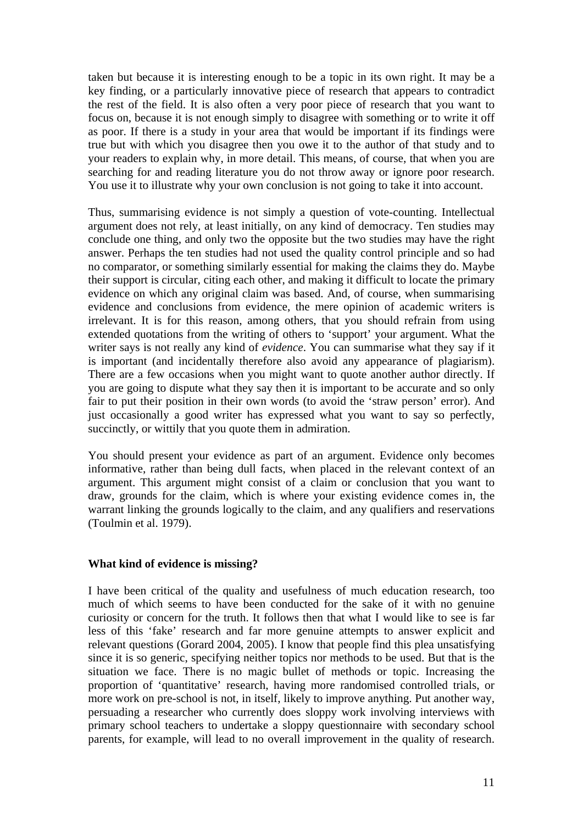taken but because it is interesting enough to be a topic in its own right. It may be a key finding, or a particularly innovative piece of research that appears to contradict the rest of the field. It is also often a very poor piece of research that you want to focus on, because it is not enough simply to disagree with something or to write it off as poor. If there is a study in your area that would be important if its findings were true but with which you disagree then you owe it to the author of that study and to your readers to explain why, in more detail. This means, of course, that when you are searching for and reading literature you do not throw away or ignore poor research. You use it to illustrate why your own conclusion is not going to take it into account.

Thus, summarising evidence is not simply a question of vote-counting. Intellectual argument does not rely, at least initially, on any kind of democracy. Ten studies may conclude one thing, and only two the opposite but the two studies may have the right answer. Perhaps the ten studies had not used the quality control principle and so had no comparator, or something similarly essential for making the claims they do. Maybe their support is circular, citing each other, and making it difficult to locate the primary evidence on which any original claim was based. And, of course, when summarising evidence and conclusions from evidence, the mere opinion of academic writers is irrelevant. It is for this reason, among others, that you should refrain from using extended quotations from the writing of others to 'support' your argument. What the writer says is not really any kind of *evidence*. You can summarise what they say if it is important (and incidentally therefore also avoid any appearance of plagiarism). There are a few occasions when you might want to quote another author directly. If you are going to dispute what they say then it is important to be accurate and so only fair to put their position in their own words (to avoid the 'straw person' error). And just occasionally a good writer has expressed what you want to say so perfectly, succinctly, or wittily that you quote them in admiration.

You should present your evidence as part of an argument. Evidence only becomes informative, rather than being dull facts, when placed in the relevant context of an argument. This argument might consist of a claim or conclusion that you want to draw, grounds for the claim, which is where your existing evidence comes in, the warrant linking the grounds logically to the claim, and any qualifiers and reservations (Toulmin et al. 1979).

## **What kind of evidence is missing?**

I have been critical of the quality and usefulness of much education research, too much of which seems to have been conducted for the sake of it with no genuine curiosity or concern for the truth. It follows then that what I would like to see is far less of this 'fake' research and far more genuine attempts to answer explicit and relevant questions (Gorard 2004, 2005). I know that people find this plea unsatisfying since it is so generic, specifying neither topics nor methods to be used. But that is the situation we face. There is no magic bullet of methods or topic. Increasing the proportion of 'quantitative' research, having more randomised controlled trials, or more work on pre-school is not, in itself, likely to improve anything. Put another way, persuading a researcher who currently does sloppy work involving interviews with primary school teachers to undertake a sloppy questionnaire with secondary school parents, for example, will lead to no overall improvement in the quality of research.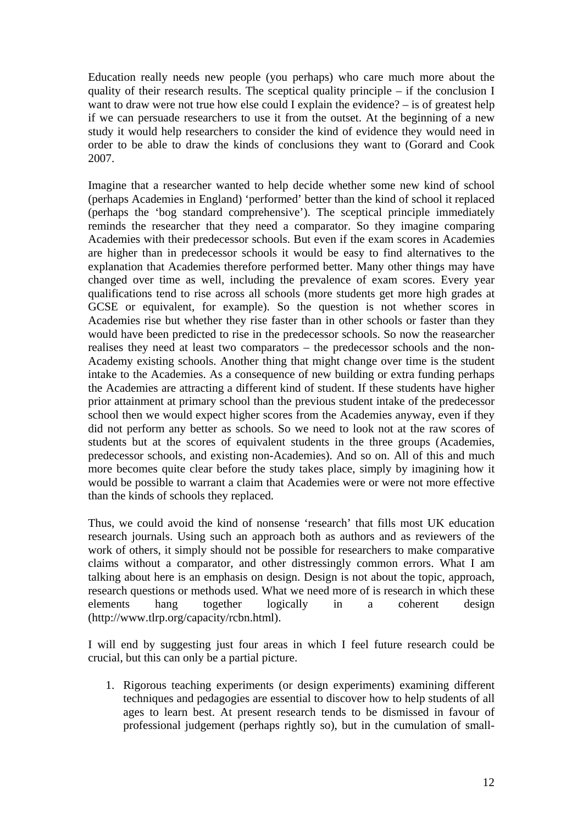Education really needs new people (you perhaps) who care much more about the quality of their research results. The sceptical quality principle – if the conclusion I want to draw were not true how else could I explain the evidence? – is of greatest help if we can persuade researchers to use it from the outset. At the beginning of a new study it would help researchers to consider the kind of evidence they would need in order to be able to draw the kinds of conclusions they want to (Gorard and Cook 2007.

Imagine that a researcher wanted to help decide whether some new kind of school (perhaps Academies in England) 'performed' better than the kind of school it replaced (perhaps the 'bog standard comprehensive'). The sceptical principle immediately reminds the researcher that they need a comparator. So they imagine comparing Academies with their predecessor schools. But even if the exam scores in Academies are higher than in predecessor schools it would be easy to find alternatives to the explanation that Academies therefore performed better. Many other things may have changed over time as well, including the prevalence of exam scores. Every year qualifications tend to rise across all schools (more students get more high grades at GCSE or equivalent, for example). So the question is not whether scores in Academies rise but whether they rise faster than in other schools or faster than they would have been predicted to rise in the predecessor schools. So now the reasearcher realises they need at least two comparators – the predecessor schools and the non-Academy existing schools. Another thing that might change over time is the student intake to the Academies. As a consequence of new building or extra funding perhaps the Academies are attracting a different kind of student. If these students have higher prior attainment at primary school than the previous student intake of the predecessor school then we would expect higher scores from the Academies anyway, even if they did not perform any better as schools. So we need to look not at the raw scores of students but at the scores of equivalent students in the three groups (Academies, predecessor schools, and existing non-Academies). And so on. All of this and much more becomes quite clear before the study takes place, simply by imagining how it would be possible to warrant a claim that Academies were or were not more effective than the kinds of schools they replaced.

Thus, we could avoid the kind of nonsense 'research' that fills most UK education research journals. Using such an approach both as authors and as reviewers of the work of others, it simply should not be possible for researchers to make comparative claims without a comparator, and other distressingly common errors. What I am talking about here is an emphasis on design. Design is not about the topic, approach, research questions or methods used. What we need more of is research in which these elements hang together logically in a coherent design (http://www.tlrp.org/capacity/rcbn.html).

I will end by suggesting just four areas in which I feel future research could be crucial, but this can only be a partial picture.

1. Rigorous teaching experiments (or design experiments) examining different techniques and pedagogies are essential to discover how to help students of all ages to learn best. At present research tends to be dismissed in favour of professional judgement (perhaps rightly so), but in the cumulation of small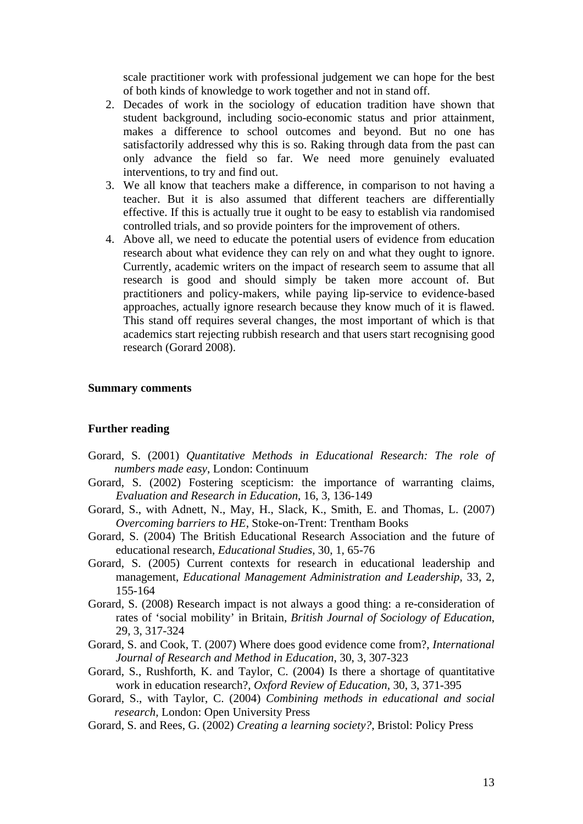scale practitioner work with professional judgement we can hope for the best of both kinds of knowledge to work together and not in stand off.

- 2. Decades of work in the sociology of education tradition have shown that student background, including socio-economic status and prior attainment, makes a difference to school outcomes and beyond. But no one has satisfactorily addressed why this is so. Raking through data from the past can only advance the field so far. We need more genuinely evaluated interventions, to try and find out.
- 3. We all know that teachers make a difference, in comparison to not having a teacher. But it is also assumed that different teachers are differentially effective. If this is actually true it ought to be easy to establish via randomised controlled trials, and so provide pointers for the improvement of others.
- 4. Above all, we need to educate the potential users of evidence from education research about what evidence they can rely on and what they ought to ignore. Currently, academic writers on the impact of research seem to assume that all research is good and should simply be taken more account of. But practitioners and policy-makers, while paying lip-service to evidence-based approaches, actually ignore research because they know much of it is flawed. This stand off requires several changes, the most important of which is that academics start rejecting rubbish research and that users start recognising good research (Gorard 2008).

#### **Summary comments**

#### **Further reading**

- Gorard, S. (2001) *Quantitative Methods in Educational Research: The role of numbers made easy*, London: Continuum
- Gorard, S. (2002) Fostering scepticism: the importance of warranting claims, *Evaluation and Research in Education*, 16, 3, 136-149
- Gorard, S., with Adnett, N., May, H., Slack, K., Smith, E. and Thomas, L. (2007) *Overcoming barriers to HE*, Stoke-on-Trent: Trentham Books
- Gorard, S. (2004) The British Educational Research Association and the future of educational research, *Educational Studies*, 30, 1, 65-76
- Gorard, S. (2005) Current contexts for research in educational leadership and management, *Educational Management Administration and Leadership*, 33, 2, 155-164
- Gorard, S. (2008) Research impact is not always a good thing: a re-consideration of rates of 'social mobility' in Britain, *British Journal of Sociology of Education*, 29, 3, 317-324
- Gorard, S. and Cook, T. (2007) Where does good evidence come from?, *International Journal of Research and Method in Education*, 30, 3, 307-323
- Gorard, S., Rushforth, K. and Taylor, C. (2004) Is there a shortage of quantitative work in education research?, *Oxford Review of Education*, 30, 3, 371-395
- Gorard, S., with Taylor, C. (2004) *Combining methods in educational and social research,* London: Open University Press
- Gorard, S. and Rees, G. (2002) *Creating a learning society?*, Bristol: Policy Press